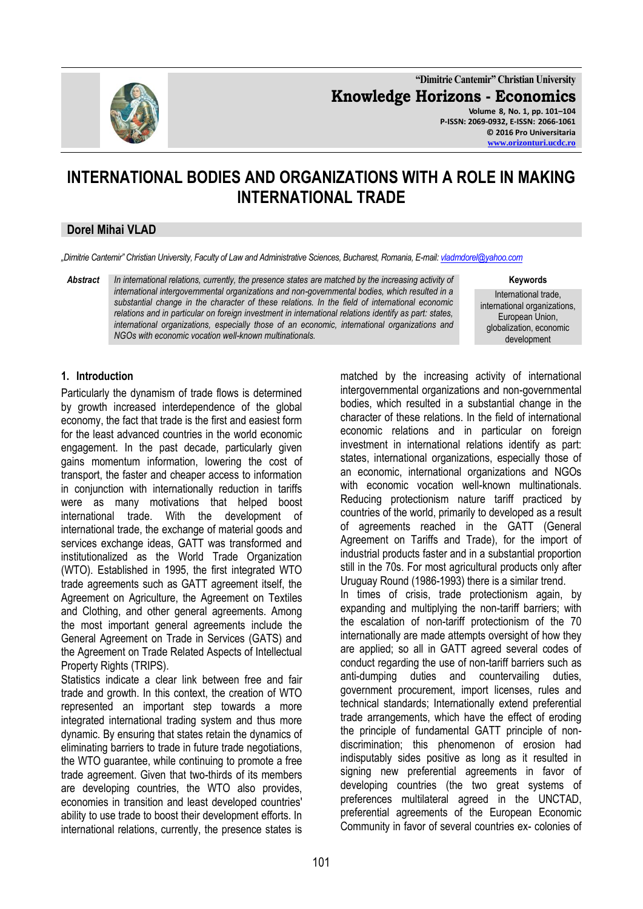

**"Dimitrie Cantemir" Christian University Knowledge Horizons - Economics Volume 8, No. 1, pp. 101–104 P-ISSN: 2069-0932, E-ISSN: 2066-1061 © 2016 Pro Universitaria [www.orizonturi.ucdc.ro](http://www.orizonturi.ucdc.ro/)**

# **INTERNATIONAL BODIES AND ORGANIZATIONS WITH A ROLE IN MAKING INTERNATIONAL TRADE**

## **Dorel Mihai VLAD**

*"Dimitrie Cantemir" Christian University, Faculty of Law and Administrative Sciences, Bucharest, Romania, E-mail[: vladmdorel@yahoo.com](mailto:vladmdorel@yahoo.com)*

*Abstract In international relations, currently, the presence states are matched by the increasing activity of international intergovernmental organizations and non-governmental bodies, which resulted in a substantial change in the character of these relations. In the field of international economic relations and in particular on foreign investment in international relations identify as part: states, international organizations, especially those of an economic, international organizations and NGOs with economic vocation well-known multinationals.*

**Keywords**

International trade, international organizations, European Union, globalization, economic development

## **1. Introduction**

Particularly the dynamism of trade flows is determined by growth increased interdependence of the global economy, the fact that trade is the first and easiest form for the least advanced countries in the world economic engagement. In the past decade, particularly given gains momentum information, lowering the cost of transport, the faster and cheaper access to information in conjunction with internationally reduction in tariffs were as many motivations that helped boost international trade. With the development of international trade, the exchange of material goods and services exchange ideas, GATT was transformed and institutionalized as the World Trade Organization (WTO). Established in 1995, the first integrated WTO trade agreements such as GATT agreement itself, the Agreement on Agriculture, the Agreement on Textiles and Clothing, and other general agreements. Among the most important general agreements include the General Agreement on Trade in Services (GATS) and the Agreement on Trade Related Aspects of Intellectual Property Rights (TRIPS).

Statistics indicate a clear link between free and fair trade and growth. In this context, the creation of WTO represented an important step towards a more integrated international trading system and thus more dynamic. By ensuring that states retain the dynamics of eliminating barriers to trade in future trade negotiations, the WTO guarantee, while continuing to promote a free trade agreement. Given that two-thirds of its members are developing countries, the WTO also provides, economies in transition and least developed countries' ability to use trade to boost their development efforts. In international relations, currently, the presence states is

matched by the increasing activity of international intergovernmental organizations and non-governmental bodies, which resulted in a substantial change in the character of these relations. In the field of international economic relations and in particular on foreign investment in international relations identify as part: states, international organizations, especially those of an economic, international organizations and NGOs with economic vocation well-known multinationals. Reducing protectionism nature tariff practiced by countries of the world, primarily to developed as a result of agreements reached in the GATT (General Agreement on Tariffs and Trade), for the import of industrial products faster and in a substantial proportion still in the 70s. For most agricultural products only after Uruguay Round (1986-1993) there is a similar trend. In times of crisis, trade protectionism again, by expanding and multiplying the non-tariff barriers; with the escalation of non-tariff protectionism of the 70 internationally are made attempts oversight of how they are applied; so all in GATT agreed several codes of conduct regarding the use of non-tariff barriers such as anti-dumping duties and countervailing duties, government procurement, import licenses, rules and technical standards; Internationally extend preferential trade arrangements, which have the effect of eroding the principle of fundamental GATT principle of nondiscrimination; this phenomenon of erosion had indisputably sides positive as long as it resulted in signing new preferential agreements in favor of developing countries (the two great systems of preferences multilateral agreed in the UNCTAD, preferential agreements of the European Economic Community in favor of several countries ex- colonies of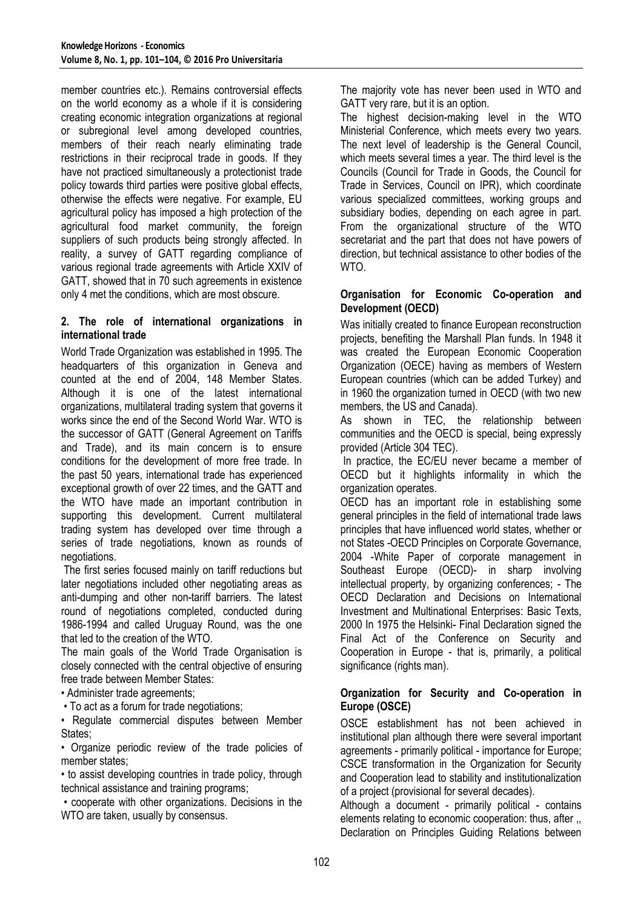member countries etc.). Remains controversial effects on the world economy as a whole if it is considering creating economic integration organizations at regional or subregional level among developed countries, members of their reach nearly eliminating trade restrictions in their reciprocal trade in goods. If they have not practiced simultaneously a protectionist trade policy towards third parties were positive global effects, otherwise the effects were negative. For example, EU agricultural policy has imposed a high protection of the agricultural food market community, the foreign suppliers of such products being strongly affected. In reality, a survey of GATT regarding compliance of various regional trade agreements with Article XXIV of GATT, showed that in 70 such agreements in existence only 4 met the conditions, which are most obscure.

#### **2. The role of international organizations in international trade**

World Trade Organization was established in 1995. The headquarters of this organization in Geneva and counted at the end of 2004, 148 Member States. Although it is one of the latest international organizations, multilateral trading system that governs it works since the end of the Second World War. WTO is the successor of GATT (General Agreement on Tariffs and Trade), and its main concern is to ensure conditions for the development of more free trade. In the past 50 years, international trade has experienced exceptional growth of over 22 times, and the GATT and the WTO have made an important contribution in supporting this development. Current multilateral trading system has developed over time through a series of trade negotiations, known as rounds of negotiations.

The first series focused mainly on tariff reductions but later negotiations included other negotiating areas as anti-dumping and other non-tariff barriers. The latest round of negotiations completed, conducted during 1986-1994 and called Uruguay Round, was the one that led to the creation of the WTO.

The main goals of the World Trade Organisation is closely connected with the central objective of ensuring free trade between Member States:

• Administer trade agreements;

• To act as a forum for trade negotiations;

• Regulate commercial disputes between Member States:

• Organize periodic review of the trade policies of member states;

• to assist developing countries in trade policy, through technical assistance and training programs;

• cooperate with other organizations. Decisions in the WTO are taken, usually by consensus.

The majority vote has never been used in WTO and GATT very rare, but it is an option.

The highest decision-making level in the WTO Ministerial Conference, which meets every two years. The next level of leadership is the General Council, which meets several times a year. The third level is the Councils (Council for Trade in Goods, the Council for Trade in Services, Council on IPR), which coordinate various specialized committees, working groups and subsidiary bodies, depending on each agree in part. From the organizational structure of the WTO secretariat and the part that does not have powers of direction, but technical assistance to other bodies of the WTO.

#### **Organisation for Economic Co-operation and Development (OECD)**

Was initially created to finance European reconstruction projects, benefiting the Marshall Plan funds. In 1948 it was created the European Economic Cooperation Organization (OECE) having as members of Western European countries (which can be added Turkey) and in 1960 the organization turned in OECD (with two new members, the US and Canada).

As shown in TEC, the relationship between communities and the OECD is special, being expressly provided (Article 304 TEC).

In practice, the EC/EU never became a member of OECD but it highlights informality in which the organization operates.

OECD has an important role in establishing some general principles in the field of international trade laws principles that have influenced world states, whether or not States -OECD Principles on Corporate Governance, 2004 -White Paper of corporate management in Southeast Europe (OECD)- in sharp involving intellectual property, by organizing conferences; - The OECD Declaration and Decisions on International Investment and Multinational Enterprises: Basic Texts, 2000 In 1975 the Helsinki- Final Declaration signed the Final Act of the Conference on Security and Cooperation in Europe - that is, primarily, a political significance (rights man).

# **Organization for Security and Co-operation in Europe (OSCE)**

OSCE establishment has not been achieved in institutional plan although there were several important agreements - primarily political - importance for Europe; CSCE transformation in the Organization for Security and Cooperation lead to stability and institutionalization of a project (provisional for several decades).

Although a document - primarily political - contains elements relating to economic cooperation: thus, after ,, Declaration on Principles Guiding Relations between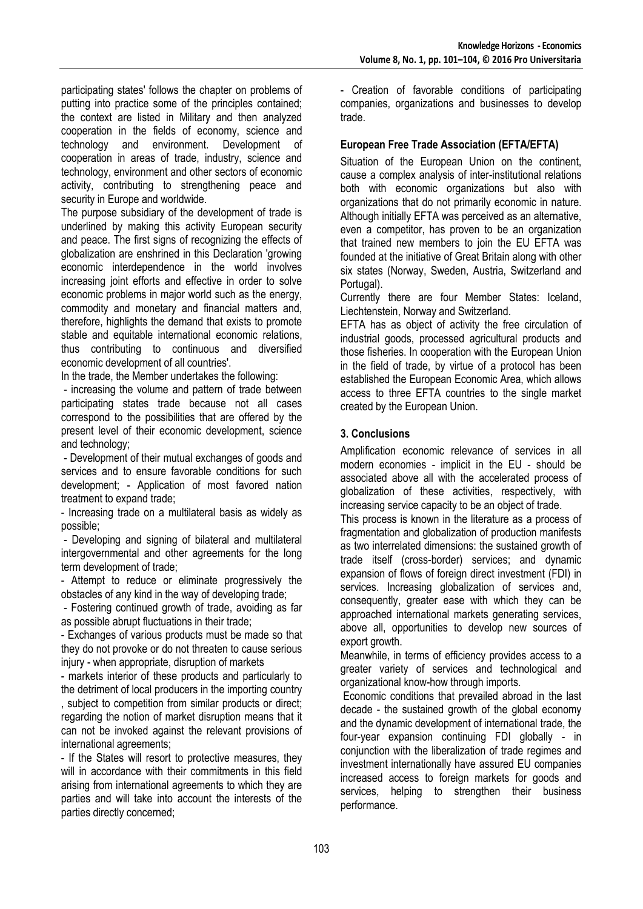participating states' follows the chapter on problems of putting into practice some of the principles contained; the context are listed in Military and then analyzed cooperation in the fields of economy, science and technology and environment. Development of cooperation in areas of trade, industry, science and technology, environment and other sectors of economic activity, contributing to strengthening peace and security in Europe and worldwide.

The purpose subsidiary of the development of trade is underlined by making this activity European security and peace. The first signs of recognizing the effects of globalization are enshrined in this Declaration 'growing economic interdependence in the world involves increasing joint efforts and effective in order to solve economic problems in major world such as the energy, commodity and monetary and financial matters and, therefore, highlights the demand that exists to promote stable and equitable international economic relations, thus contributing to continuous and diversified economic development of all countries'.

In the trade, the Member undertakes the following:

- increasing the volume and pattern of trade between participating states trade because not all cases correspond to the possibilities that are offered by the present level of their economic development, science and technology;

- Development of their mutual exchanges of goods and services and to ensure favorable conditions for such development; - Application of most favored nation treatment to expand trade;

- Increasing trade on a multilateral basis as widely as possible;

- Developing and signing of bilateral and multilateral intergovernmental and other agreements for the long term development of trade;

- Attempt to reduce or eliminate progressively the obstacles of any kind in the way of developing trade;

- Fostering continued growth of trade, avoiding as far as possible abrupt fluctuations in their trade;

- Exchanges of various products must be made so that they do not provoke or do not threaten to cause serious injury - when appropriate, disruption of markets

- markets interior of these products and particularly to the detriment of local producers in the importing country , subject to competition from similar products or direct; regarding the notion of market disruption means that it can not be invoked against the relevant provisions of international agreements;

- If the States will resort to protective measures, they will in accordance with their commitments in this field arising from international agreements to which they are parties and will take into account the interests of the parties directly concerned;

- Creation of favorable conditions of participating companies, organizations and businesses to develop trade.

# **European Free Trade Association (EFTA/EFTA)**

Situation of the European Union on the continent. cause a complex analysis of inter-institutional relations both with economic organizations but also with organizations that do not primarily economic in nature. Although initially EFTA was perceived as an alternative, even a competitor, has proven to be an organization that trained new members to join the EU EFTA was founded at the initiative of Great Britain along with other six states (Norway, Sweden, Austria, Switzerland and Portugal).

Currently there are four Member States: Iceland, Liechtenstein, Norway and Switzerland.

EFTA has as object of activity the free circulation of industrial goods, processed agricultural products and those fisheries. In cooperation with the European Union in the field of trade, by virtue of a protocol has been established the European Economic Area, which allows access to three EFTA countries to the single market created by the European Union.

# **3. Conclusions**

Amplification economic relevance of services in all modern economies - implicit in the EU - should be associated above all with the accelerated process of globalization of these activities, respectively, with increasing service capacity to be an object of trade.

This process is known in the literature as a process of fragmentation and globalization of production manifests as two interrelated dimensions: the sustained growth of trade itself (cross-border) services; and dynamic expansion of flows of foreign direct investment (FDI) in services. Increasing globalization of services and, consequently, greater ease with which they can be approached international markets generating services, above all, opportunities to develop new sources of export growth.

Meanwhile, in terms of efficiency provides access to a greater variety of services and technological and organizational know-how through imports.

Economic conditions that prevailed abroad in the last decade - the sustained growth of the global economy and the dynamic development of international trade, the four-year expansion continuing FDI globally - in conjunction with the liberalization of trade regimes and investment internationally have assured EU companies increased access to foreign markets for goods and services, helping to strengthen their business performance.